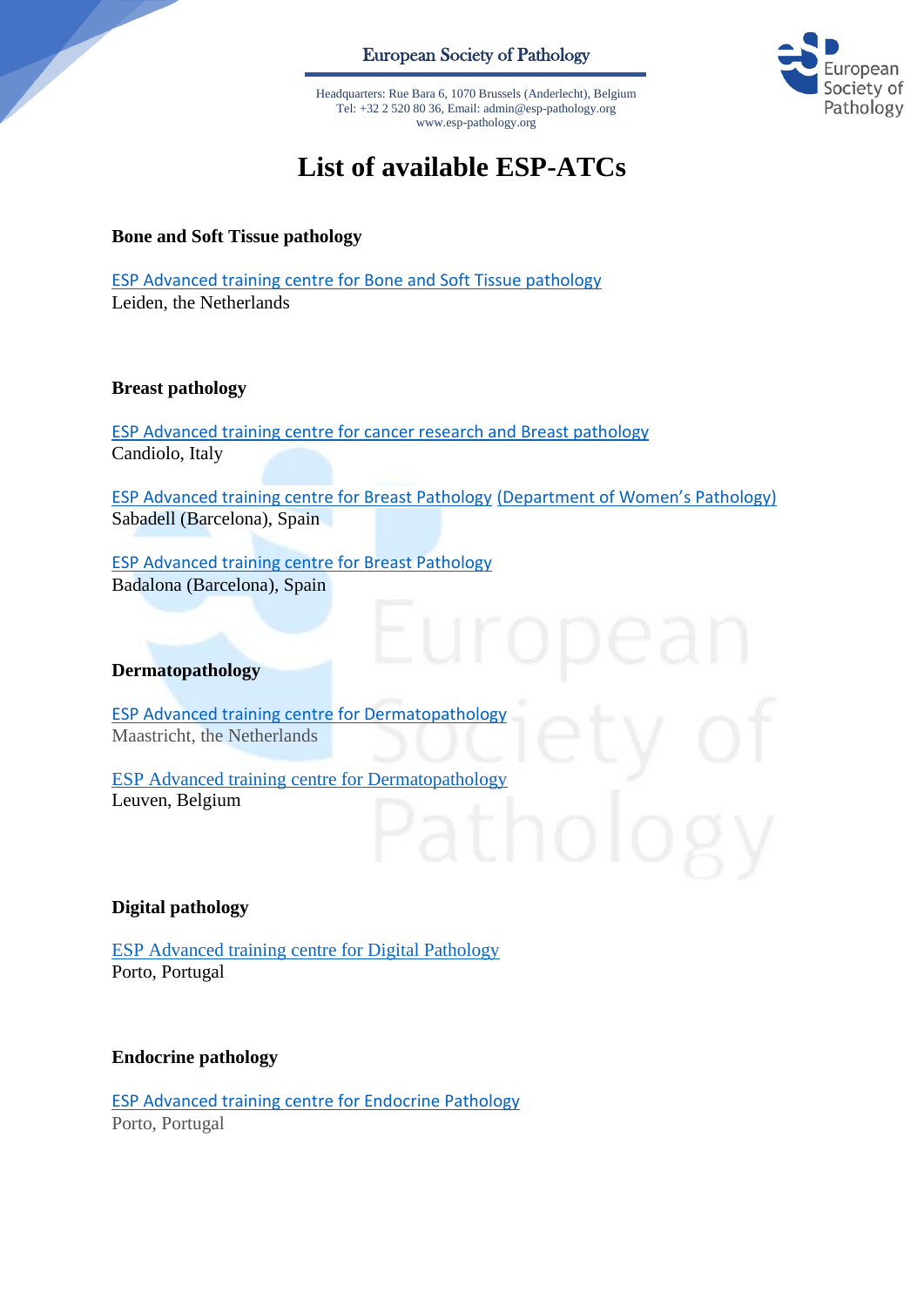European Society of Pathology

opean ciety of Pathology

Headquarters: Rue Bara 6, 1070 Brussels (Anderlecht), Belgium Tel: +32 2 520 80 36, Email: admin@esp-pathology.org www.esp-pathology.org

# **List of available ESP-ATCs**

**Bone and Soft Tissue pathology**

ESP Advanced training centre [for Bone and Soft Tissue pathology](https://www.esp-pathology.org/_Resources/Persistent/7c3c7d07adfece957c8be92915a81ad6d3cf6f35/Bone-soft_tissue_Bovee_web.pdf) Leiden, the Netherlands

# **Breast pathology**

ESP Advanced training centre [for cancer research and Breast pathology](https://www.esp-pathology.org/_Resources/Persistent/eda6b911709ac74e2510ad6f6dd5ecd5737c77f7/Breast__Italy.pdf) Candiolo, Italy

[ESP Advanced training centre for Breast Pathology](https://www.esp-pathology.org/_Resources/Persistent/98e13248c62474f1c263f538906cb3c9d0cd3f6e/ESP_Advanced_Training_Centre_for_Breast_and_Gynaecological_Pathology.pdf) [\(Department of Women's Pathology\)](https://www.esp-pathology.org/_Resources/Persistent/98e13248c62474f1c263f538906cb3c9d0cd3f6e/ESP_Advanced_Training_Centre_for_Breast_and_Gynaecological_Pathology.pdf) Sabadell (Barcelona), Spain

[ESP Advanced training centre for Breast Pathology](https://www.esp-pathology.org/_Resources/Persistent/1ae8dd2ecad51526a823cd6893e2596a042d1da7/ESP%20Advanced%20Training%20Centre%20for%20Breast%20Pathology.pdf) Badalona (Barcelona), Spain

### **Dermatopathology**

[ESP Advanced training centre for Dermatopathology](https://www.esp-pathology.org/_Resources/Persistent/33a54615de8221806b3b2175084b7186e1936eeb/ESP%20Advanced%20Training%20Dermatopathology%20%28Maastricht%20Natherlands%29.pdf) Maastricht, the Netherlands

[ESP Advanced training centre for Dermatopathology](https://www.esp-pathology.org/_Resources/Persistent/f92c33e9b0af1e3f0b7e64097e712c1b3a1b1846/ESP%20Advanced%20Training%20Centre%20for%20Dermatopathology%20Leuven.pdf) Leuven, Belgium

# **Digital pathology**

[ESP Advanced training centre for Digital Pathology](https://www.esp-pathology.org/_Resources/Persistent/09b980491838db23232a408a0e25c8ca1cd86b1e/ESP%20Advanced%20Training%20Centre%20for%20Digital%20Pathology%20Porto.pdf) Porto, Portugal

### **Endocrine pathology**

[ESP Advanced training centre for Endocrine Pathology](https://www.esp-pathology.org/_Resources/Persistent/989ef8c7e68fdf5344c8caf2f9795764fa1abc6d/ESP_Advanced_Training_Centre_for_Endocrine_Pathology_copy.pdf) Porto, Portugal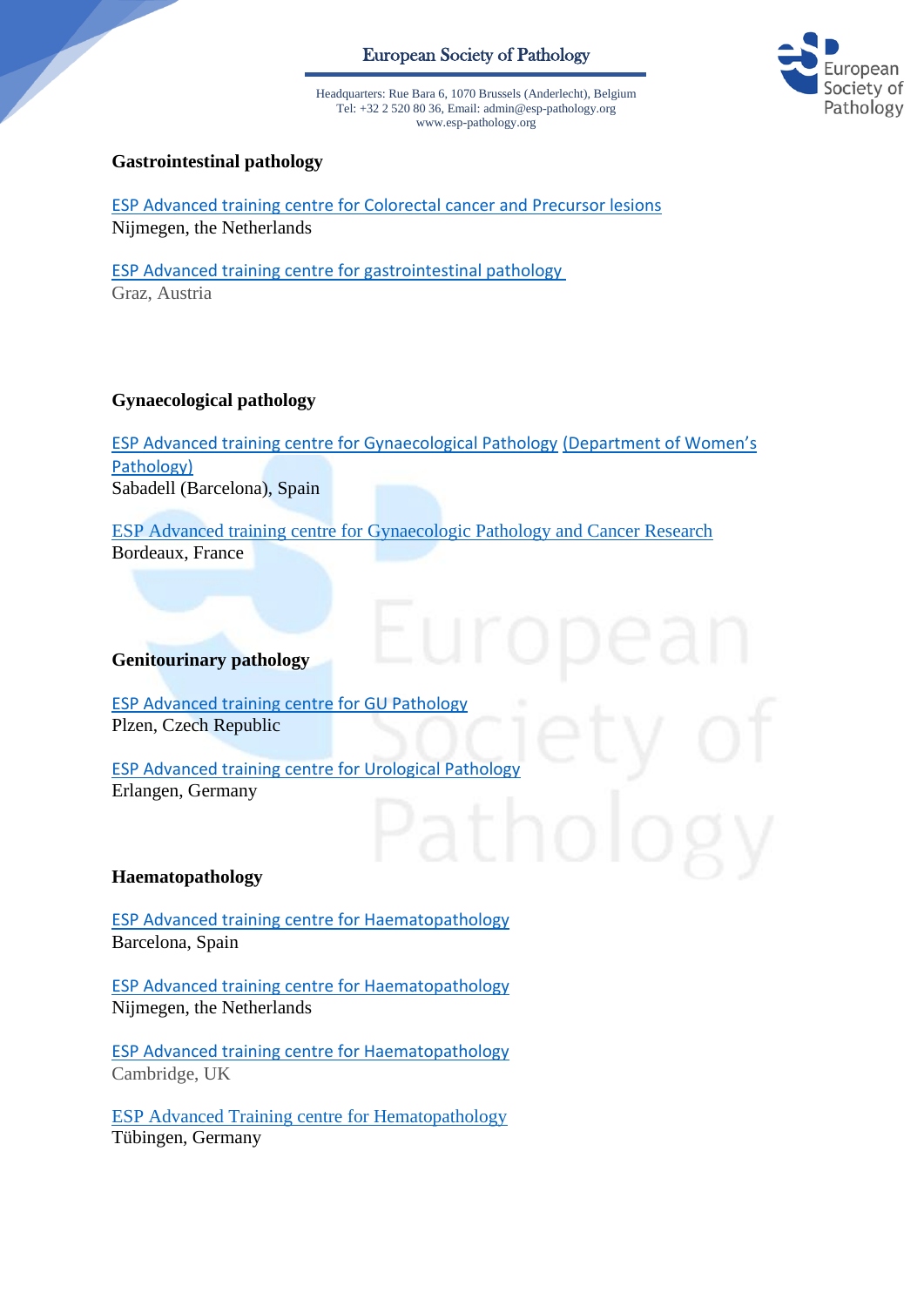# European Society of Pathology



Headquarters: Rue Bara 6, 1070 Brussels (Anderlecht), Belgium Tel: +32 2 520 80 36, Email: admin@esp-pathology.org www.esp-pathology.org

### **Gastrointestinal pathology**

ESP Advanced training centre [for Colorectal cancer and Precursor lesions](https://www.esp-pathology.org/_Resources/Persistent/bcd32158503a6ccd4ed3ec38fcd91a8c2d6e2e4f/NL_Colorectal_Cancer_and_Precursor.pdf) Nijmegen, the Netherlands

[ESP Advanced training centre for gastrointestinal pathology](https://www.esp-pathology.org/_Resources/Persistent/12f615afea2361ae22d4edca89186d281506ca88/ESP_advanced_training_center_for_gastrointestinal_pathology.pdf) Graz, Austria

### **Gynaecological pathology**

[ESP Advanced training centre for Gynaecological Pathology](https://www.esp-pathology.org/_Resources/Persistent/98e13248c62474f1c263f538906cb3c9d0cd3f6e/ESP_Advanced_Training_Centre_for_Breast_and_Gynaecological_Pathology.pdf) [\(Department of Women's](https://www.esp-pathology.org/_Resources/Persistent/98e13248c62474f1c263f538906cb3c9d0cd3f6e/ESP_Advanced_Training_Centre_for_Breast_and_Gynaecological_Pathology.pdf)  [Pathology\)](https://www.esp-pathology.org/_Resources/Persistent/98e13248c62474f1c263f538906cb3c9d0cd3f6e/ESP_Advanced_Training_Centre_for_Breast_and_Gynaecological_Pathology.pdf) Sabadell (Barcelona), Spain

ESP Advanced training centre for [Gynaecologic Pathology and Cancer Research](https://www.esp-pathology.org/_Resources/Persistent/adb857d262cb661821de89513ea4ee80e1d759bc/ESP%20Advanced%20training%20centre%20for%20Gynecologic%20Pathology%20and%20Cancer%20research%20Bordeaux.pdf) Bordeaux, France

### **Genitourinary pathology**

[ESP Advanced training centre for GU Pathology](https://www.esp-pathology.org/_Resources/Persistent/7ed73d9db11bf23b193c5045f5254f5620619f72/Training_Centre_GU_Pathology_FIN.pdf) Plzen, Czech Republic

[ESP Advanced training centre for Urological Pathology](https://www.esp-pathology.org/_Resources/Persistent/02b6ba3d30ffaab91992c1fa40d496226d6d68dc/EAT_Urological_Pathology.pdf) Erlangen, Germany

### **Haematopathology**

[ESP Advanced training centre](https://www.esp-pathology.org/_Resources/Persistent/c4686b923f1fafdad9b6e3550b25abb5e39dde97/ESP_Advanced_training_center_for_Hematopathology.pdf) for Haematopathology Barcelona, Spain

[ESP Advanced training centre](https://www.esp-pathology.org/_Resources/Persistent/f2c059ed1eba5e1c6e5ba7b95b50c0640a714fc4/ESP%20Advanced%20Training%20Centre%20for%20Haematopathology%20-%20NL.pdf) for Haematopathology Nijmegen, the Netherlands

[ESP Advanced training centre for Haematopathology](https://www.esp-pathology.org/_Resources/Persistent/647fad4143fdb08e9542e28453e9cadd2c09a2d9/ESP%20Advanced%20Training%20Centre%20for%20Haematopathology.pdf) Cambridge, UK

[ESP Advanced Training centre for Hematopathology](https://www.esp-pathology.org/_Resources/Persistent/4c3a881a929ae50354701cd2a522525b76a3eda4/ESP%20Adcanced%20Training%20centre%20for%20Hematopathology%20T%C3%BCbingen.pdf) Tübingen, Germany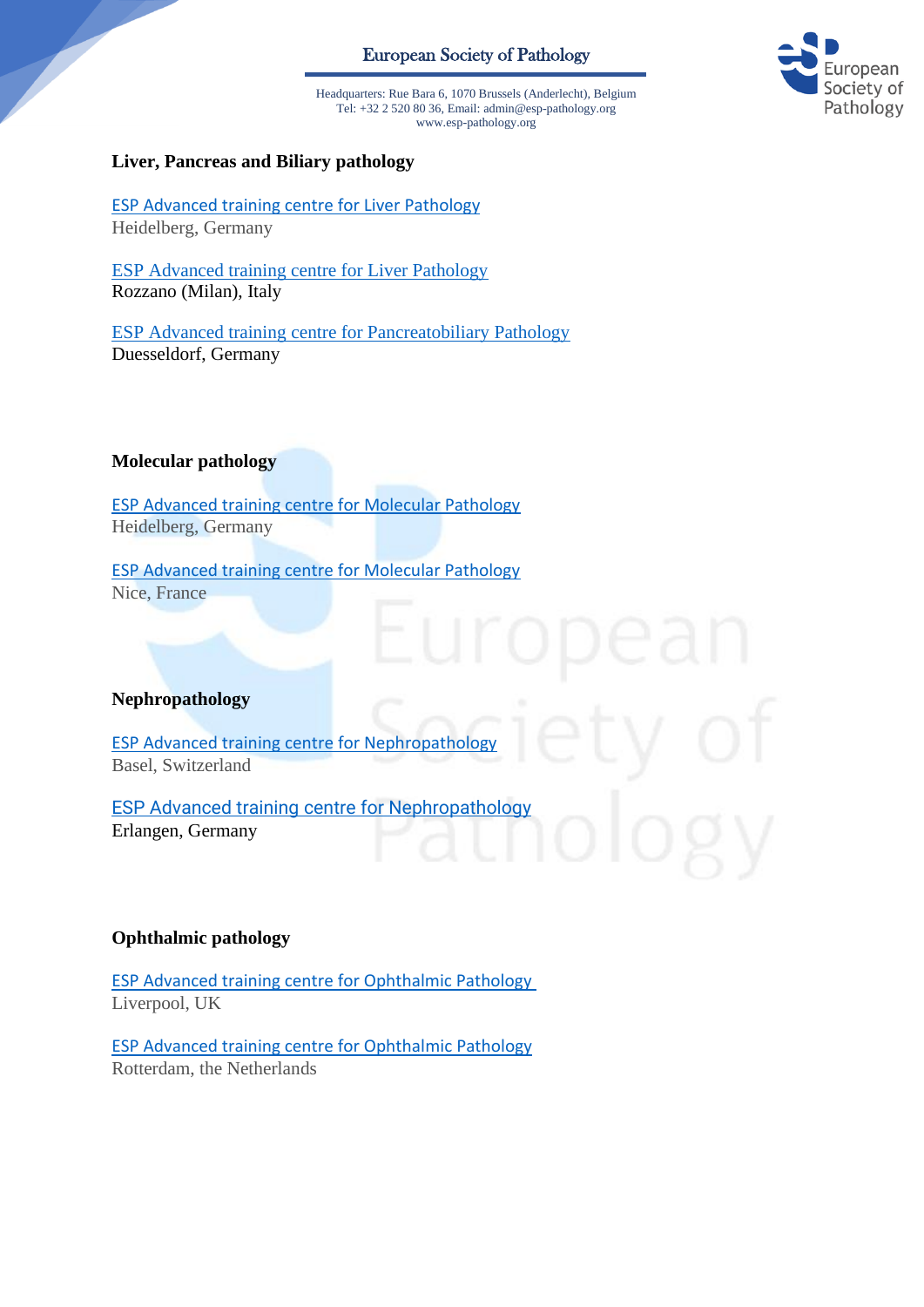# European Society of Pathology



Headquarters: Rue Bara 6, 1070 Brussels (Anderlecht), Belgium Tel: +32 2 520 80 36, Email: admin@esp-pathology.org www.esp-pathology.org

#### **Liver, Pancreas and Biliary pathology**

[ESP Advanced training centre for Liver Pathology](https://www.esp-pathology.org/_Resources/Persistent/9a91b9d1b8bf654ea3f455fcd7427a2f68982af7/Application_ESP_COA_Liver_Pathology_copy1.pdf) Heidelberg, Germany

[ESP Advanced training centre for Liver Pathology](https://www.esp-pathology.org/_Resources/Persistent/13170b5ff260642ae8e8e39b05d183cda0bf9bb5/ESP%20Advanced%20Training%20Centre%20for%20Liver%20Pathology%20Milan.pdf) Rozzano (Milan), Italy

ESP Advanced training centre [for Pancreatobiliary Pathology](https://www.esp-pathology.org/_Resources/Persistent/61aec5eb11500310b0c0b45e92f350439d567589/ESP%20Advanced%20Training%20centre%20for%20Pancreastobiliary%20Pathology%20Dusseldorf.pdf) Duesseldorf, Germany

**Molecular pathology**

[ESP Advanced training centre for Molecular Pathology](https://www.esp-pathology.org/_Resources/Persistent/32a7cc4cc575e0d98c1edcf34c85bcb4ab4bfa02/Application_ESP_COE_Mol_Path_copy_2.pdf) Heidelberg, Germany

[ESP Advanced training centre for Molecular Pathology](https://www.esp-pathology.org/_Resources/Persistent/34d0788441afc2f3eaa69d27a5cc37a3e476e8f6/ESP%20Advanced%20Training%20Centre%20for%20Molecular%20Pathology%20with%20an%20emphasis%20on%20liquid%20biopsy.pdf)  Nice, France

#### **Nephropathology**

[ESP Advanced training centre](https://www.esp-pathology.org/_Resources/Persistent/34dd47d078caab144e15c26b32f48cf8d1c2e91c/ESP%20Advanced%20training%20center%20for%20Nephropathology.pdf) for Nephropathology Basel, Switzerland

[ESP Advanced training centre](https://www.esp-pathology.org/_Resources/Persistent/034d9ab2ea4ccc2905d1dc3cc9b33824deb8964b/Updated%20-ESP%20Advanced%20training%20centre%20for%20Nephropathology.pdf) for Nephropathology Erlangen, Germany

### **Ophthalmic pathology**

[ESP Advanced training centre for Ophthalmic Pathology](https://www.esp-pathology.org/_Resources/Persistent/4509444b4f1be46133f16f59c5e751a483c7b140/ESP%20Advanced%20Training%20Centre%20for%20Ophthalmic%20Pathology.pdf) Liverpool, UK

[ESP Advanced training centre for Ophthalmic Pathology](https://www.esp-pathology.org/_Resources/Persistent/f3d67c9781d83497cca27ee304d6793718119a06/ESP%20Advanced%20Training%20Centre%20for%20Ophthalmic%20Pathology_ErasmusMC_Verdijk%20.pdf) Rotterdam, the Netherlands